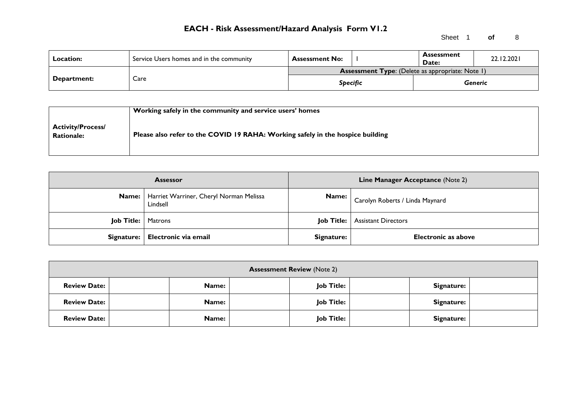Sheet 1 **of** 8

| <b>Location:</b>   | Service Users homes and in the community | <b>Assessment No:</b>                                   |  | <b>Assessment</b><br>Date: | 22.12.2021 |
|--------------------|------------------------------------------|---------------------------------------------------------|--|----------------------------|------------|
| <b>Department:</b> |                                          | <b>Assessment Type:</b> (Delete as appropriate: Note 1) |  |                            |            |
|                    | Care                                     | <b>Specific</b>                                         |  |                            | Generic    |

|                                               | Working safely in the community and service users' homes                       |
|-----------------------------------------------|--------------------------------------------------------------------------------|
| <b>Activity/Process/</b><br><b>Rationale:</b> | Please also refer to the COVID 19 RAHA: Working safely in the hospice building |

|                             | <b>Assessor</b>                                             |            | Line Manager Acceptance (Note 2)        |
|-----------------------------|-------------------------------------------------------------|------------|-----------------------------------------|
|                             | Name:   Harriet Warriner, Cheryl Norman Melissa<br>Lindsell | Name:      | Carolyn Roberts / Linda Maynard         |
| <b>Job Title:</b>   Matrons |                                                             |            | <b>Job Title:</b>   Assistant Directors |
|                             | Signature:   Electronic via email                           | Signature: | <b>Electronic as above</b>              |

| <b>Assessment Review (Note 2)</b> |              |                   |            |  |  |  |  |
|-----------------------------------|--------------|-------------------|------------|--|--|--|--|
| <b>Review Date:</b>               | Name:        | Job Title:        | Signature: |  |  |  |  |
| <b>Review Date:</b>               | <b>Name:</b> | <b>Job Title:</b> | Signature: |  |  |  |  |
| <b>Review Date:</b>               | Name:        | <b>Job Title:</b> | Signature: |  |  |  |  |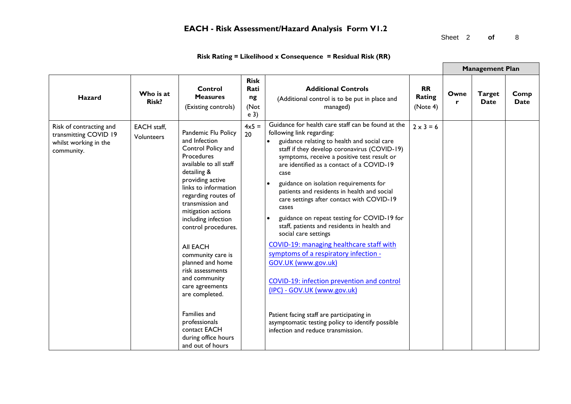Sheet 2 **of** 8

| Risk Rating = Likelihood x Consequence = Residual Risk (RR) |  |  |
|-------------------------------------------------------------|--|--|
|-------------------------------------------------------------|--|--|

|                                                                                         |                           |                                                                                                                                                                                                                                                                                                                                                                                                                                                                                                                |                                                     |                                                                                                                                                                                                                                                                                                                                                                                                                                                                                                                                                                                                                                                                                                                                                                                                                                                                                         |                                 |           | <b>Management Plan</b> |                     |
|-----------------------------------------------------------------------------------------|---------------------------|----------------------------------------------------------------------------------------------------------------------------------------------------------------------------------------------------------------------------------------------------------------------------------------------------------------------------------------------------------------------------------------------------------------------------------------------------------------------------------------------------------------|-----------------------------------------------------|-----------------------------------------------------------------------------------------------------------------------------------------------------------------------------------------------------------------------------------------------------------------------------------------------------------------------------------------------------------------------------------------------------------------------------------------------------------------------------------------------------------------------------------------------------------------------------------------------------------------------------------------------------------------------------------------------------------------------------------------------------------------------------------------------------------------------------------------------------------------------------------------|---------------------------------|-----------|------------------------|---------------------|
| <b>Hazard</b>                                                                           | Who is at<br>Risk?        | Control<br><b>Measures</b><br>(Existing controls)                                                                                                                                                                                                                                                                                                                                                                                                                                                              | <b>Risk</b><br>Rati<br>ng<br>(Not<br>e <sub>3</sub> | <b>Additional Controls</b><br>(Additional control is to be put in place and<br>managed)                                                                                                                                                                                                                                                                                                                                                                                                                                                                                                                                                                                                                                                                                                                                                                                                 | <b>RR</b><br>Rating<br>(Note 4) | Owne<br>r | <b>Target</b><br>Date  | Comp<br><b>Date</b> |
| Risk of contracting and<br>transmitting COVID 19<br>whilst working in the<br>community. | EACH staff,<br>Volunteers | Pandemic Flu Policy<br>and Infection<br>Control Policy and<br>Procedures<br>available to all staff<br>detailing &<br>providing active<br>links to information<br>regarding routes of<br>transmission and<br>mitigation actions<br>including infection<br>control procedures.<br><b>AII EACH</b><br>community care is<br>planned and home<br>risk assessments<br>and community<br>care agreements<br>are completed.<br>Families and<br>professionals<br>contact EACH<br>during office hours<br>and out of hours | $4\times5=$<br>20                                   | Guidance for health care staff can be found at the<br>following link regarding:<br>guidance relating to health and social care<br>staff if they develop coronavirus (COVID-19)<br>symptoms, receive a positive test result or<br>are identified as a contact of a COVID-19<br>case<br>guidance on isolation requirements for<br>patients and residents in health and social<br>care settings after contact with COVID-19<br>cases<br>guidance on repeat testing for COVID-19 for<br>staff, patients and residents in health and<br>social care settings<br>COVID-19: managing healthcare staff with<br>symptoms of a respiratory infection -<br>GOV.UK (www.gov.uk)<br>COVID-19: infection prevention and control<br>(IPC) - GOV.UK (www.gov.uk)<br>Patient facing staff are participating in<br>asymptomatic testing policy to identify possible<br>infection and reduce transmission. | $2 \times 3 = 6$                |           |                        |                     |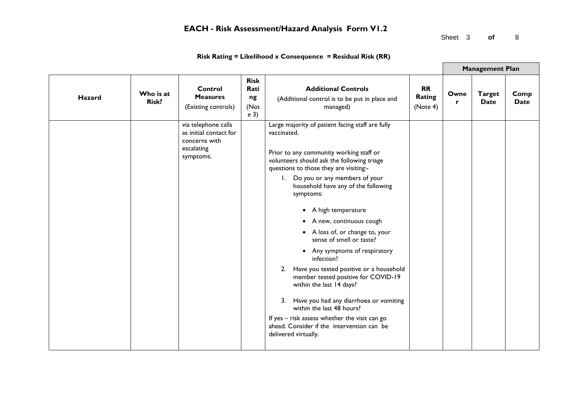Sheet 3 of 8

|        |                           |                                                                                           |                                                     |                                                                                                                                                                                                                                                                                                                                                                                                                                                                                                                                                                                                                                                                                                                                                                                             |                                 |           | <b>Management Plan</b>       |              |
|--------|---------------------------|-------------------------------------------------------------------------------------------|-----------------------------------------------------|---------------------------------------------------------------------------------------------------------------------------------------------------------------------------------------------------------------------------------------------------------------------------------------------------------------------------------------------------------------------------------------------------------------------------------------------------------------------------------------------------------------------------------------------------------------------------------------------------------------------------------------------------------------------------------------------------------------------------------------------------------------------------------------------|---------------------------------|-----------|------------------------------|--------------|
| Hazard | Who is at<br><b>Risk?</b> | <b>Control</b><br><b>Measures</b><br>(Existing controls)                                  | <b>Risk</b><br>Rati<br>ng<br>(Not<br>e <sub>3</sub> | <b>Additional Controls</b><br>(Additional control is to be put in place and<br>managed)                                                                                                                                                                                                                                                                                                                                                                                                                                                                                                                                                                                                                                                                                                     | <b>RR</b><br>Rating<br>(Note 4) | Owne<br>r | <b>Target</b><br><b>Date</b> | Comp<br>Date |
|        |                           | via telephone calls<br>as initial contact for<br>concerns with<br>escalating<br>symptoms. |                                                     | Large majority of patient facing staff are fully<br>vaccinated.<br>Prior to any community working staff or<br>volunteers should ask the following triage<br>questions to those they are visiting:-<br>1. Do you or any members of your<br>household have any of the following<br>symptoms:<br>A high temperature<br>$\bullet$<br>A new, continuous cough<br>• A loss of, or change to, your<br>sense of smell or taste?<br>• Any symptoms of respiratory<br>infection?<br>Have you tested positive or a household<br>2.<br>member tested positive for COVID-19<br>within the last 14 days?<br>3. Have you had any diarrhoea or vomiting<br>within the last 48 hours?<br>If yes - risk assess whether the visit can go<br>ahead. Consider if the intervention can be<br>delivered virtually. |                                 |           |                              |              |

### **Risk Rating = Likelihood x Consequence = Residual Risk (RR)**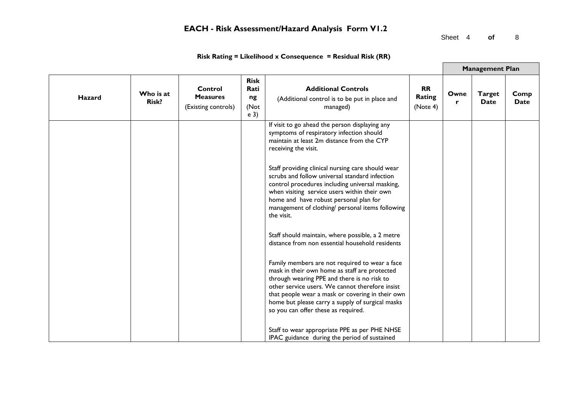Sheet 4 **of** 8

|               |                    |                                                   |                                                     |                                                                                                                                                                                                                                                                                                                                                  |                                 |           | <b>Management Plan</b>       |              |
|---------------|--------------------|---------------------------------------------------|-----------------------------------------------------|--------------------------------------------------------------------------------------------------------------------------------------------------------------------------------------------------------------------------------------------------------------------------------------------------------------------------------------------------|---------------------------------|-----------|------------------------------|--------------|
| <b>Hazard</b> | Who is at<br>Risk? | Control<br><b>Measures</b><br>(Existing controls) | <b>Risk</b><br>Rati<br>ng<br>(Not<br>e <sub>3</sub> | <b>Additional Controls</b><br>(Additional control is to be put in place and<br>managed)                                                                                                                                                                                                                                                          | <b>RR</b><br>Rating<br>(Note 4) | Owne<br>r | <b>Target</b><br><b>Date</b> | Comp<br>Date |
|               |                    |                                                   |                                                     | If visit to go ahead the person displaying any<br>symptoms of respiratory infection should<br>maintain at least 2m distance from the CYP<br>receiving the visit.                                                                                                                                                                                 |                                 |           |                              |              |
|               |                    |                                                   |                                                     | Staff providing clinical nursing care should wear<br>scrubs and follow universal standard infection<br>control procedures including universal masking,<br>when visiting service users within their own<br>home and have robust personal plan for<br>management of clothing/ personal items following<br>the visit.                               |                                 |           |                              |              |
|               |                    |                                                   |                                                     | Staff should maintain, where possible, a 2 metre<br>distance from non essential household residents                                                                                                                                                                                                                                              |                                 |           |                              |              |
|               |                    |                                                   |                                                     | Family members are not required to wear a face<br>mask in their own home as staff are protected<br>through wearing PPE and there is no risk to<br>other service users. We cannot therefore insist<br>that people wear a mask or covering in their own<br>home but please carry a supply of surgical masks<br>so you can offer these as required. |                                 |           |                              |              |
|               |                    |                                                   |                                                     | Staff to wear appropriate PPE as per PHE NHSE<br>IPAC guidance during the period of sustained                                                                                                                                                                                                                                                    |                                 |           |                              |              |

### **Risk Rating = Likelihood x Consequence = Residual Risk (RR)**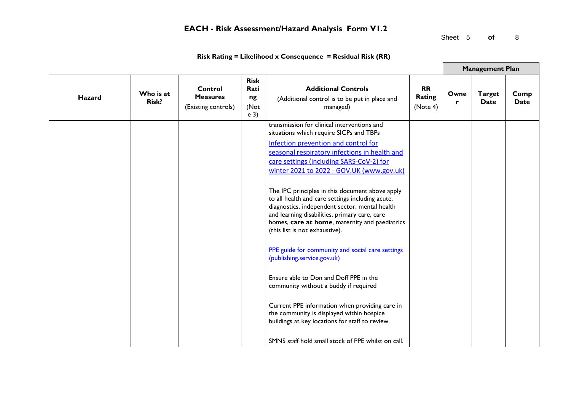Sheet 5 **of** 8

| <b>Risk</b><br>Rati<br><b>Additional Controls</b><br><b>RR</b><br>Control<br>Who is at<br><b>Target</b><br>Owne<br><b>Rating</b><br><b>Measures</b><br><b>Hazard</b><br>ng<br>(Additional control is to be put in place and<br><b>Risk?</b><br>Date<br><b>Date</b><br>r<br>(Note 4)<br>(Not<br>managed)<br>(Existing controls)<br>e <sub>3</sub><br>transmission for clinical interventions and<br>situations which require SICPs and TBPs<br>Infection prevention and control for<br>seasonal respiratory infections in health and<br>care settings (including SARS-CoV-2) for<br>winter 2021 to 2022 - GOV.UK (www.gov.uk)<br>The IPC principles in this document above apply<br>to all health and care settings including acute,<br>diagnostics, independent sector, mental health<br>and learning disabilities, primary care, care<br>homes, care at home, maternity and paediatrics<br>(this list is not exhaustive).<br>PPE guide for community and social care settings<br>(publishing.service.gov.uk)<br>Ensure able to Don and Doff PPE in the<br>community without a buddy if required<br>Current PPE information when providing care in<br>the community is displayed within hospice<br>buildings at key locations for staff to review. |  |  |  | <b>Management Plan</b> |      |
|----------------------------------------------------------------------------------------------------------------------------------------------------------------------------------------------------------------------------------------------------------------------------------------------------------------------------------------------------------------------------------------------------------------------------------------------------------------------------------------------------------------------------------------------------------------------------------------------------------------------------------------------------------------------------------------------------------------------------------------------------------------------------------------------------------------------------------------------------------------------------------------------------------------------------------------------------------------------------------------------------------------------------------------------------------------------------------------------------------------------------------------------------------------------------------------------------------------------------------------------------|--|--|--|------------------------|------|
|                                                                                                                                                                                                                                                                                                                                                                                                                                                                                                                                                                                                                                                                                                                                                                                                                                                                                                                                                                                                                                                                                                                                                                                                                                                    |  |  |  |                        | Comp |
| SMNS staff hold small stock of PPE whilst on call.                                                                                                                                                                                                                                                                                                                                                                                                                                                                                                                                                                                                                                                                                                                                                                                                                                                                                                                                                                                                                                                                                                                                                                                                 |  |  |  |                        |      |

**Risk Rating = Likelihood x Consequence = Residual Risk (RR)**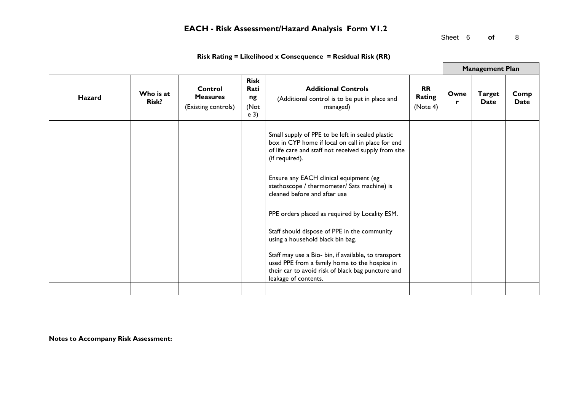Sheet 6 **of** 8

|               |                           |                                                   |                                                     |                                                                                                                                                                                    |                                 |           | <b>Management Plan</b> |              |
|---------------|---------------------------|---------------------------------------------------|-----------------------------------------------------|------------------------------------------------------------------------------------------------------------------------------------------------------------------------------------|---------------------------------|-----------|------------------------|--------------|
| <b>Hazard</b> | Who is at<br><b>Risk?</b> | Control<br><b>Measures</b><br>(Existing controls) | <b>Risk</b><br>Rati<br>ng<br>(Not<br>e <sub>3</sub> | <b>Additional Controls</b><br>(Additional control is to be put in place and<br>managed)                                                                                            | <b>RR</b><br>Rating<br>(Note 4) | Owne<br>r | <b>Target</b><br>Date  | Comp<br>Date |
|               |                           |                                                   |                                                     | Small supply of PPE to be left in sealed plastic<br>box in CYP home if local on call in place for end<br>of life care and staff not received supply from site<br>(if required).    |                                 |           |                        |              |
|               |                           |                                                   |                                                     | Ensure any EACH clinical equipment (eg<br>stethoscope / thermometer/ Sats machine) is<br>cleaned before and after use                                                              |                                 |           |                        |              |
|               |                           |                                                   |                                                     | PPE orders placed as required by Locality ESM.                                                                                                                                     |                                 |           |                        |              |
|               |                           |                                                   |                                                     | Staff should dispose of PPE in the community<br>using a household black bin bag.                                                                                                   |                                 |           |                        |              |
|               |                           |                                                   |                                                     | Staff may use a Bio- bin, if available, to transport<br>used PPE from a family home to the hospice in<br>their car to avoid risk of black bag puncture and<br>leakage of contents. |                                 |           |                        |              |
|               |                           |                                                   |                                                     |                                                                                                                                                                                    |                                 |           |                        |              |

### **Risk Rating = Likelihood x Consequence = Residual Risk (RR)**

**Notes to Accompany Risk Assessment:**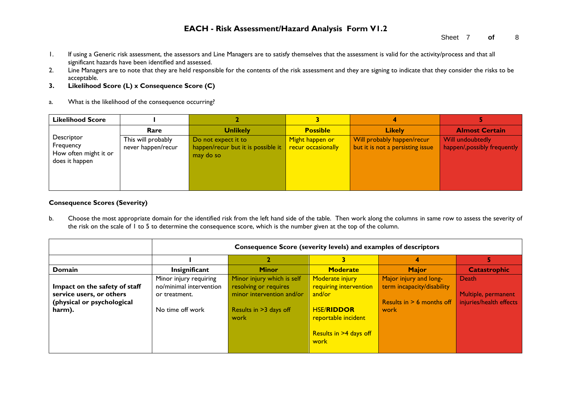- 1. If using a Generic risk assessment, the assessors and Line Managers are to satisfy themselves that the assessment is valid for the activity/process and that all significant hazards have been identified and assessed.
- 2. Line Managers are to note that they are held responsible for the contents of the risk assessment and they are signing to indicate that they consider the risks to be acceptable.
- **3. Likelihood Score (L) x Consequence Score (C)**
- a. What is the likelihood of the consequence occurring?

| <b>Likelihood Score</b>                                            |                                          |                                                                        |                                       |                                                                |                                                  |
|--------------------------------------------------------------------|------------------------------------------|------------------------------------------------------------------------|---------------------------------------|----------------------------------------------------------------|--------------------------------------------------|
|                                                                    | Rare                                     | <b>Unlikely</b>                                                        | <b>Possible</b>                       | <b>Likely</b>                                                  | <b>Almost Certain</b>                            |
| Descriptor<br>Frequency<br>How often might it or<br>does it happen | This will probably<br>never happen/recur | Do not expect it to<br>happen/recur but it is possible it<br>may do so | Might happen or<br>recur occasionally | Will probably happen/recur<br>but it is not a persisting issue | Will undoubtedly<br>happen/, possibly frequently |

### **Consequence Scores (Severity)**

b. Choose the most appropriate domain for the identified risk from the left hand side of the table. Then work along the columns in same row to assess the severity of the risk on the scale of 1 to 5 to determine the consequence score, which is the number given at the top of the column.

|                                                                                                   |                                                                                        | Consequence Score (severity levels) and examples of descriptors                                                    |                                                                                                                                   |                                                                                             |                                                         |  |  |  |  |  |
|---------------------------------------------------------------------------------------------------|----------------------------------------------------------------------------------------|--------------------------------------------------------------------------------------------------------------------|-----------------------------------------------------------------------------------------------------------------------------------|---------------------------------------------------------------------------------------------|---------------------------------------------------------|--|--|--|--|--|
|                                                                                                   |                                                                                        |                                                                                                                    |                                                                                                                                   | 4                                                                                           |                                                         |  |  |  |  |  |
| Domain                                                                                            | Insignificant                                                                          | <b>Minor</b>                                                                                                       | <b>Moderate</b>                                                                                                                   | <b>Major</b>                                                                                | <b>Catastrophic</b>                                     |  |  |  |  |  |
| Impact on the safety of staff<br>service users, or others<br>(physical or psychological<br>harm). | Minor injury requiring<br>no/minimal intervention<br>or treatment.<br>No time off work | Minor injury which is self<br>resolving or requires<br>minor intervention and/or<br>Results in >3 days off<br>work | Moderate injury<br>requiring intervention<br>and/or<br><b>HSE/RIDDOR</b><br>reportable incident<br>Results in >4 days off<br>work | Major injury and long-<br>term incapacity/disability<br>Results in $> 6$ months off<br>work | Death<br>Multiple, permanent<br>injuries/health effects |  |  |  |  |  |